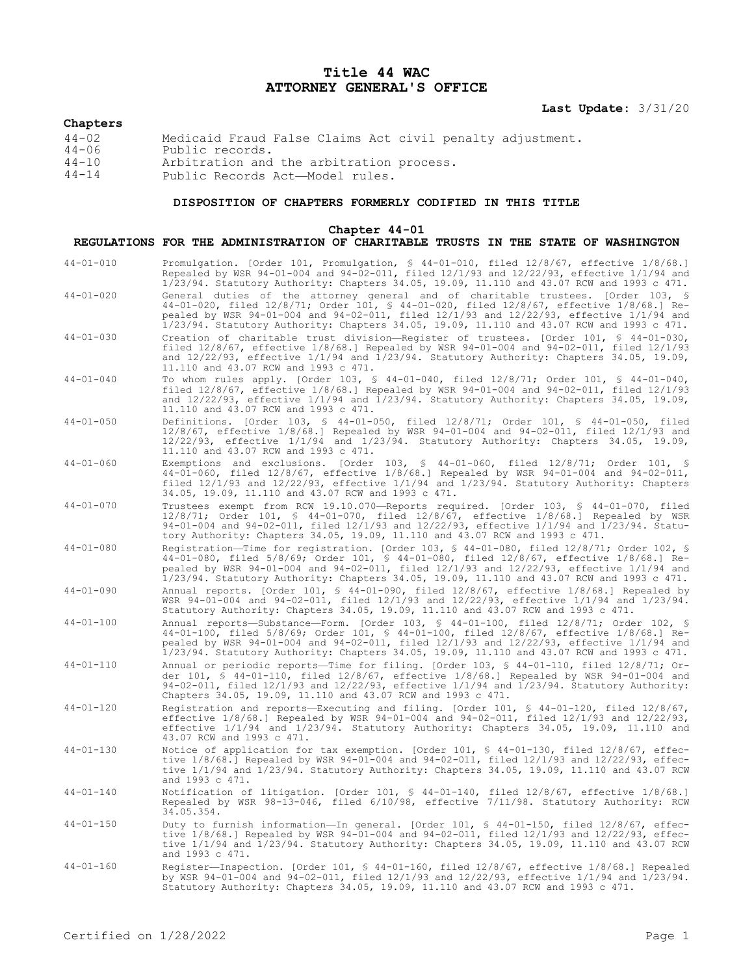# **Title 44 WAC ATTORNEY GENERAL'S OFFICE**

**Last Update:** 3/31/20

### **Chapters**

| $44 - 02$ | Medicaid Fraud False Claims Act civil penalty adjustment. |
|-----------|-----------------------------------------------------------|
| $44 - 06$ | Public records.                                           |
| 44-10     | Arbitration and the arbitration process.                  |
|           |                                                           |

44-14 Public Records Act—Model rules.

### **DISPOSITION OF CHAPTERS FORMERLY CODIFIED IN THIS TITLE**

#### **Chapter 44-01**

## **REGULATIONS FOR THE ADMINISTRATION OF CHARITABLE TRUSTS IN THE STATE OF WASHINGTON**

44-01-010 Promulgation. [Order 101, Promulgation, § 44-01-010, filed 12/8/67, effective 1/8/68.] Repealed by WSR 94-01-004 and 94-02-011, filed 12/1/93 and 12/22/93, effective 1/1/94 and 1/23/94. Statutory Authority: Chapters 34.05, 19.09, 11.110 and 43.07 RCW and 1993 c 471. 44-01-020 General duties of the attorney general and of charitable trustees. [Order 103, § 44-01-020, filed 12/8/71; Order 101, § 44-01-020, filed 12/8/67, effective 1/8/68.] Repealed by WSR 94-01-004 and 94-02-011, filed 12/1/93 and 12/22/93, effective 1/1/94 and 1/23/94. Statutory Authority: Chapters 34.05, 19.09, 11.110 and 43.07 RCW and 1993 c 471. 44-01-030 Creation of charitable trust division—Register of trustees. [Order 101, § 44-01-030, filed 12/8/67, effective 1/8/68.] Repealed by WSR 94-01-004 and 94-02-011, filed 12/1/93 and 12/22/93, effective 1/1/94 and 1/23/94. Statutory Authority: Chapters 34.05, 19.09, 11.110 and 43.07 RCW and 1993 c 471. 44-01-040 To whom rules apply. [Order 103, § 44-01-040, filed 12/8/71; Order 101, § 44-01-040, filed 12/8/67, effective 1/8/68.] Repealed by WSR 94-01-004 and 94-02-011, filed 12/1/93 and 12/22/93, effective 1/1/94 and 1/23/94. Statutory Authority: Chapters 34.05, 19.09, 11.110 and 43.07 RCW and 1993 c 471. 44-01-050 Definitions. [Order 103, § 44-01-050, filed 12/8/71; Order 101, § 44-01-050, filed 12/8/67, effective 1/8/68.] Repealed by WSR 94-01-004 and 94-02-011, filed 12/1/93 and 12/22/93, effective 1/1/94 and 1/23/94. Statutory Authority: Chapters 34.05, 19.09, 11.110 and 43.07 RCW and 1993 c 471. 44-01-060 Exemptions and exclusions. [Order 103, § 44-01-060, filed 12/8/71; Order 101, § 44-01-060, filed 12/8/67, effective 1/8/68.] Repealed by WSR 94-01-004 and 94-02-011, filed 12/1/93 and 12/22/93, effective 1/1/94 and 1/23/94. Statutory Authority: Chapters 34.05, 19.09, 11.110 and 43.07 RCW and 1993 c 471. 44-01-070 Trustees exempt from RCW 19.10.070—Reports required. [Order 103, § 44-01-070, filed 12/8/71; Order 101, § 44-01-070, filed 12/8/67, effective 1/8/68.] Repealed by WSR 94-01-004 and 94-02-011, filed 12/1/93 and 12/22/93, effective 1/1/94 and 1/23/94. Statutory Authority: Chapters 34.05, 19.09, 11.110 and 43.07 RCW and 1993 c 471. 44-01-080 Registration—Time for registration. [Order 103, § 44-01-080, filed 12/8/71; Order 102, § 44-01-080, filed 5/8/69; Order 101, § 44-01-080, filed 12/8/67, effective 1/8/68.] Repealed by WSR 94-01-004 and 94-02-011, filed 12/1/93 and 12/22/93, effective 1/1/94 and 1/23/94. Statutory Authority: Chapters 34.05, 19.09, 11.110 and 43.07 RCW and 1993 c 471. 44-01-090 Annual reports. [Order 101, § 44-01-090, filed 12/8/67, effective 1/8/68.] Repealed by WSR 94-01-004 and 94-02-011, filed 12/1/93 and 12/22/93, effective 1/1/94 and 1/23/94. Statutory Authority: Chapters 34.05, 19.09, 11.110 and 43.07 RCW and 1993 c 471. 44-01-100 Annual reports—Substance—Form. [Order 103, § 44-01-100, filed 12/8/71; Order 102, § 44-01-100, filed 5/8/69; Order 101, § 44-01-100, filed 12/8/67, effective 1/8/68.] Repealed by WSR 94-01-004 and 94-02-011, filed 12/1/93 and 12/22/93, effective 1/1/94 and 1/23/94. Statutory Authority: Chapters 34.05, 19.09, 11.110 and 43.07 RCW and 1993 c 471. 44-01-110 Annual or periodic reports—Time for filing. [Order 103, § 44-01-110, filed 12/8/71; Order 101, § 44-01-110, filed 12/8/67, effective 1/8/68.] Repealed by WSR 94-01-004 and 94-02-011, filed 12/1/93 and 12/22/93, effective 1/1/94 and 1/23/94. Statutory Authority: Chapters 34.05, 19.09, 11.110 and 43.07 RCW and 1993 c 471. 44-01-120 Registration and reports—Executing and filing. [Order 101, § 44-01-120, filed 12/8/67, effective 1/8/68.] Repealed by WSR 94-01-004 and 94-02-011, filed 12/1/93 and 12/22/93, effective 1/1/94 and 1/23/94. Statutory Authority: Chapters 34.05, 19.09, 11.110 and 43.07 RCW and 1993 c 471. 44-01-130 Notice of application for tax exemption. [Order 101, § 44-01-130, filed 12/8/67, effective 1/8/68.] Repealed by WSR 94-01-004 and 94-02-011, filed 12/1/93 and 12/22/93, effective 1/1/94 and 1/23/94. Statutory Authority: Chapters 34.05, 19.09, 11.110 and 43.07 RCW and 1993 c 471. 44-01-140 Notification of litigation. [Order 101, § 44-01-140, filed 12/8/67, effective 1/8/68.] Repealed by WSR 98-13-046, filed 6/10/98, effective 7/11/98. Statutory Authority: RCW 34.05.354. 44-01-150 Duty to furnish information—In general. [Order 101, § 44-01-150, filed 12/8/67, effective 1/8/68.] Repealed by WSR 94-01-004 and 94-02-011, filed 12/1/93 and 12/22/93, effective 1/1/94 and 1/23/94. Statutory Authority: Chapters 34.05, 19.09, 11.110 and 43.07 RCW and 1993 c 471. 44-01-160 Register—Inspection. [Order 101, § 44-01-160, filed 12/8/67, effective 1/8/68.] Repealed by WSR 94-01-004 and 94-02-011, filed 12/1/93 and 12/22/93, effective 1/1/94 and 1/23/94. Statutory Authority: Chapters 34.05, 19.09, 11.110 and 43.07 RCW and 1993 c 471.